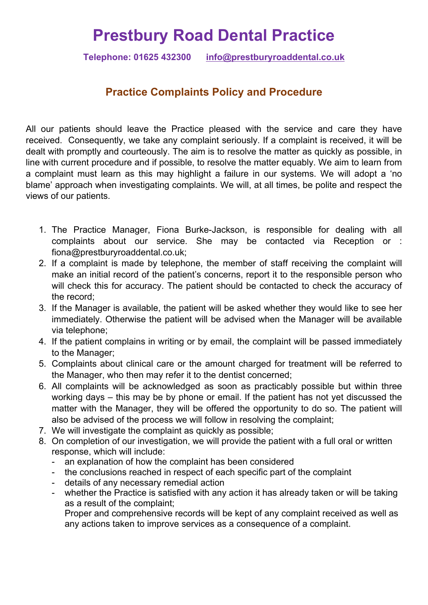## **Prestbury Road Dental Practice**

**Telephone: 01625 432300 info@prestburyroaddental.co.uk**

## **Practice Complaints Policy and Procedure**

All our patients should leave the Practice pleased with the service and care they have received. Consequently, we take any complaint seriously. If a complaint is received, it will be dealt with promptly and courteously. The aim is to resolve the matter as quickly as possible, in line with current procedure and if possible, to resolve the matter equably. We aim to learn from a complaint must learn as this may highlight a failure in our systems. We will adopt a 'no blame' approach when investigating complaints. We will, at all times, be polite and respect the views of our patients.

- 1. The Practice Manager, Fiona Burke-Jackson, is responsible for dealing with all complaints about our service. She may be contacted via Reception or : fiona@prestburyroaddental.co.uk;
- 2. If a complaint is made by telephone, the member of staff receiving the complaint will make an initial record of the patient's concerns, report it to the responsible person who will check this for accuracy. The patient should be contacted to check the accuracy of the record;
- 3. If the Manager is available, the patient will be asked whether they would like to see her immediately. Otherwise the patient will be advised when the Manager will be available via telephone;
- 4. If the patient complains in writing or by email, the complaint will be passed immediately to the Manager;
- 5. Complaints about clinical care or the amount charged for treatment will be referred to the Manager, who then may refer it to the dentist concerned;
- 6. All complaints will be acknowledged as soon as practicably possible but within three working days – this may be by phone or email. If the patient has not yet discussed the matter with the Manager, they will be offered the opportunity to do so. The patient will also be advised of the process we will follow in resolving the complaint;
- 7. We will investigate the complaint as quickly as possible;
- 8. On completion of our investigation, we will provide the patient with a full oral or written response, which will include:<br>- an explanation of how the complaint has been considered
	-
	- the conclusions reached in respect of each specific part of the complaint details of any necessary remedial action
	-
	- whether the Practice is satisfied with any action it has already taken or will be taking as a result of the complaint;

Proper and comprehensive records will be kept of any complaint received as well as any actions taken to improve services as a consequence of a complaint.